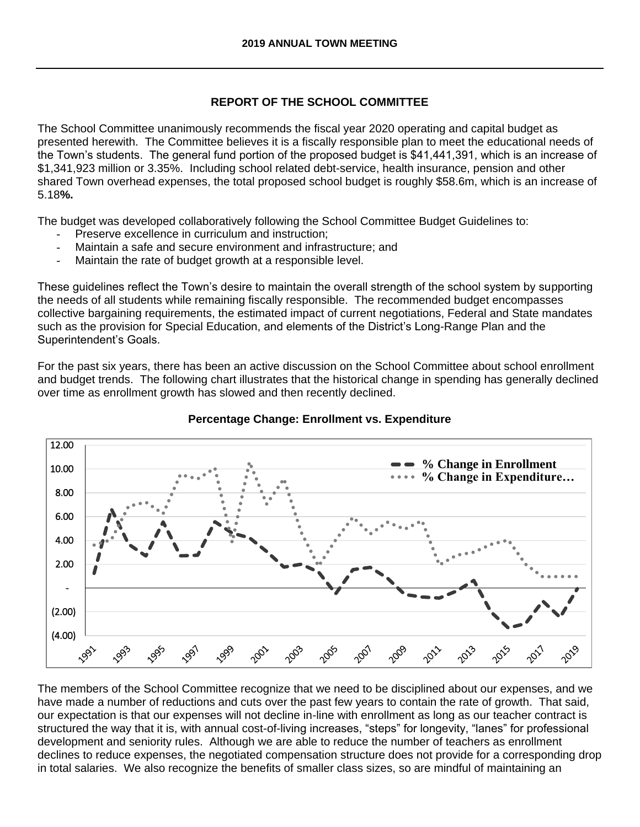## **REPORT OF THE SCHOOL COMMITTEE**

The School Committee unanimously recommends the fiscal year 2020 operating and capital budget as presented herewith. The Committee believes it is a fiscally responsible plan to meet the educational needs of the Town's students. The general fund portion of the proposed budget is \$41,441,391, which is an increase of \$1,341,923 million or 3.35%. Including school related debt-service, health insurance, pension and other shared Town overhead expenses, the total proposed school budget is roughly \$58.6m, which is an increase of 5.18**%.** 

The budget was developed collaboratively following the School Committee Budget Guidelines to:

- Preserve excellence in curriculum and instruction:
- Maintain a safe and secure environment and infrastructure; and
- Maintain the rate of budget growth at a responsible level.

These guidelines reflect the Town's desire to maintain the overall strength of the school system by supporting the needs of all students while remaining fiscally responsible. The recommended budget encompasses collective bargaining requirements, the estimated impact of current negotiations, Federal and State mandates such as the provision for Special Education, and elements of the District's Long-Range Plan and the Superintendent's Goals.

For the past six years, there has been an active discussion on the School Committee about school enrollment and budget trends. The following chart illustrates that the historical change in spending has generally declined over time as enrollment growth has slowed and then recently declined.



## **Percentage Change: Enrollment vs. Expenditure**

The members of the School Committee recognize that we need to be disciplined about our expenses, and we have made a number of reductions and cuts over the past few years to contain the rate of growth. That said, our expectation is that our expenses will not decline in-line with enrollment as long as our teacher contract is structured the way that it is, with annual cost-of-living increases, "steps" for longevity, "lanes" for professional development and seniority rules. Although we are able to reduce the number of teachers as enrollment declines to reduce expenses, the negotiated compensation structure does not provide for a corresponding drop in total salaries. We also recognize the benefits of smaller class sizes, so are mindful of maintaining an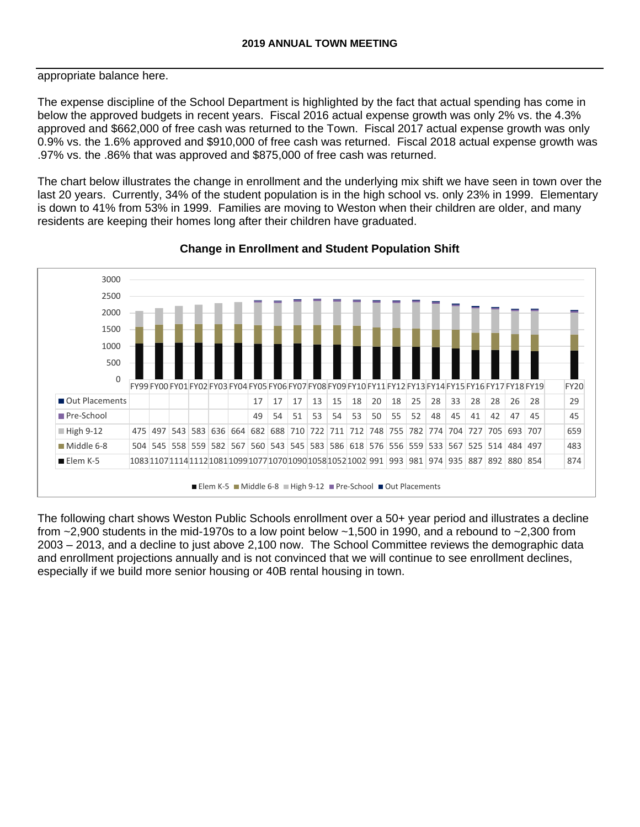appropriate balance here.

The expense discipline of the School Department is highlighted by the fact that actual spending has come in below the approved budgets in recent years. Fiscal 2016 actual expense growth was only 2% vs. the 4.3% approved and \$662,000 of free cash was returned to the Town. Fiscal 2017 actual expense growth was only 0.9% vs. the 1.6% approved and \$910,000 of free cash was returned. Fiscal 2018 actual expense growth was .97% vs. the .86% that was approved and \$875,000 of free cash was returned.

The chart below illustrates the change in enrollment and the underlying mix shift we have seen in town over the last 20 years. Currently, 34% of the student population is in the high school vs. only 23% in 1999. Elementary is down to 41% from 53% in 1999. Families are moving to Weston when their children are older, and many residents are keeping their homes long after their children have graduated.



#### **Change in Enrollment and Student Population Shift**

The following chart shows Weston Public Schools enrollment over a 50+ year period and illustrates a decline from ~2,900 students in the mid-1970s to a low point below ~1,500 in 1990, and a rebound to ~2,300 from 2003 – 2013, and a decline to just above 2,100 now. The School Committee reviews the demographic data and enrollment projections annually and is not convinced that we will continue to see enrollment declines, especially if we build more senior housing or 40B rental housing in town.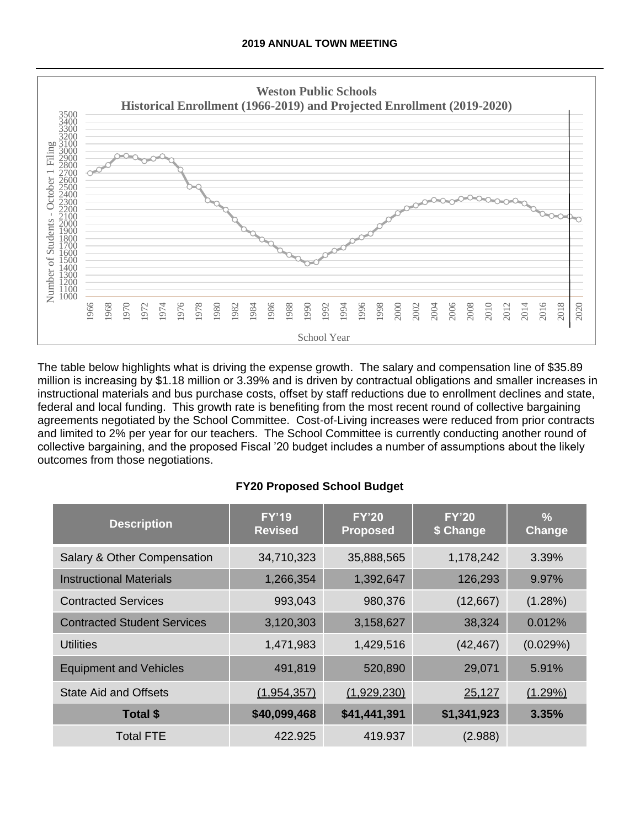

The table below highlights what is driving the expense growth. The salary and compensation line of \$35.89 million is increasing by \$1.18 million or 3.39% and is driven by contractual obligations and smaller increases in instructional materials and bus purchase costs, offset by staff reductions due to enrollment declines and state, federal and local funding. This growth rate is benefiting from the most recent round of collective bargaining agreements negotiated by the School Committee. Cost-of-Living increases were reduced from prior contracts and limited to 2% per year for our teachers. The School Committee is currently conducting another round of collective bargaining, and the proposed Fiscal '20 budget includes a number of assumptions about the likely outcomes from those negotiations.

# **FY20 Proposed School Budget**

| <b>Description</b>                 | <b>FY'19</b><br><b>Revised</b> | <b>FY'20</b><br><b>Proposed</b> | FY'20<br>\$ Change | $\frac{9}{6}$<br>Change |
|------------------------------------|--------------------------------|---------------------------------|--------------------|-------------------------|
| Salary & Other Compensation        | 34,710,323                     | 35,888,565                      | 1,178,242          | 3.39%                   |
| <b>Instructional Materials</b>     | 1,266,354                      | 1,392,647                       | 126,293            | 9.97%                   |
| <b>Contracted Services</b>         | 993,043                        | 980,376                         | (12,667)           | $(1.28\%)$              |
| <b>Contracted Student Services</b> | 3,120,303                      | 3,158,627                       | 38,324             | 0.012%                  |
| Utilities                          | 1,471,983                      | 1,429,516                       | (42, 467)          | (0.029%)                |
| <b>Equipment and Vehicles</b>      | 491,819                        | 520,890                         | 29,071             | 5.91%                   |
| <b>State Aid and Offsets</b>       | (1,954,357)                    | (1,929,230)                     | 25,127             | (1.29%)                 |
| Total \$                           | \$40,099,468                   | \$41,441,391                    | \$1,341,923        | 3.35%                   |
| <b>Total FTE</b>                   | 422.925                        | 419.937                         | (2.988)            |                         |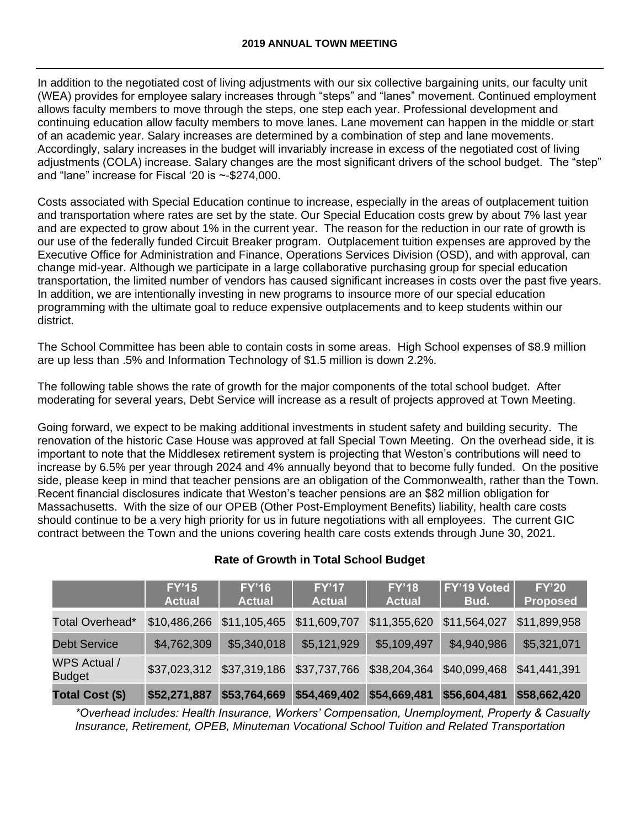In addition to the negotiated cost of living adjustments with our six collective bargaining units, our faculty unit (WEA) provides for employee salary increases through "steps" and "lanes" movement. Continued employment allows faculty members to move through the steps, one step each year. Professional development and continuing education allow faculty members to move lanes. Lane movement can happen in the middle or start of an academic year. Salary increases are determined by a combination of step and lane movements. Accordingly, salary increases in the budget will invariably increase in excess of the negotiated cost of living adjustments (COLA) increase. Salary changes are the most significant drivers of the school budget. The "step" and "lane" increase for Fiscal '20 is ~-\$274,000.

Costs associated with Special Education continue to increase, especially in the areas of outplacement tuition and transportation where rates are set by the state. Our Special Education costs grew by about 7% last year and are expected to grow about 1% in the current year. The reason for the reduction in our rate of growth is our use of the federally funded Circuit Breaker program. Outplacement tuition expenses are approved by the Executive Office for Administration and Finance, Operations Services Division (OSD), and with approval, can change mid-year. Although we participate in a large collaborative purchasing group for special education transportation, the limited number of vendors has caused significant increases in costs over the past five years. In addition, we are intentionally investing in new programs to insource more of our special education programming with the ultimate goal to reduce expensive outplacements and to keep students within our district.

The School Committee has been able to contain costs in some areas. High School expenses of \$8.9 million are up less than .5% and Information Technology of \$1.5 million is down 2.2%.

The following table shows the rate of growth for the major components of the total school budget. After moderating for several years, Debt Service will increase as a result of projects approved at Town Meeting.

Going forward, we expect to be making additional investments in student safety and building security. The renovation of the historic Case House was approved at fall Special Town Meeting. On the overhead side, it is important to note that the Middlesex retirement system is projecting that Weston's contributions will need to increase by 6.5% per year through 2024 and 4% annually beyond that to become fully funded. On the positive side, please keep in mind that teacher pensions are an obligation of the Commonwealth, rather than the Town. Recent financial disclosures indicate that Weston's teacher pensions are an \$82 million obligation for Massachusetts. With the size of our OPEB (Other Post-Employment Benefits) liability, health care costs should continue to be a very high priority for us in future negotiations with all employees. The current GIC contract between the Town and the unions covering health care costs extends through June 30, 2021.

| <b>Rate of Growth in Total School Budget</b> |
|----------------------------------------------|

|                                      | <b>FY'15</b><br><b>Actual</b> | <b>FY'16</b><br><b>Actual</b> | FY'17<br><b>Actual</b>    | <b>FY'18</b><br><b>Actual</b>                                                 | <b>FY'19 Voted</b><br>Bud. | <b>FY'20</b><br><b>Proposed</b> |
|--------------------------------------|-------------------------------|-------------------------------|---------------------------|-------------------------------------------------------------------------------|----------------------------|---------------------------------|
| Total Overhead*                      |                               | \$10,486,266 \$11,105,465     | \$11,609,707              |                                                                               |                            | \$11,899,958                    |
| <b>Debt Service</b>                  | \$4,762,309                   | \$5,340,018                   | \$5,121,929               | \$5,109,497                                                                   | \$4,940,986                | \$5,321,071                     |
| <b>WPS Actual /</b><br><b>Budget</b> |                               |                               |                           | \$37,023,312 \$37,319,186 \$37,737,766 \$38,204,364 \$40,099,468 \$41,441,391 |                            |                                 |
| <b>Total Cost (\$)</b>               | \$52,271,887                  | \$53,764,669                  | \$54,469,402 \$54,669,481 |                                                                               | \$56,604,481               | \$58,662,420                    |

*\*Overhead includes: Health Insurance, Workers' Compensation, Unemployment, Property & Casualty Insurance, Retirement, OPEB, Minuteman Vocational School Tuition and Related Transportation*